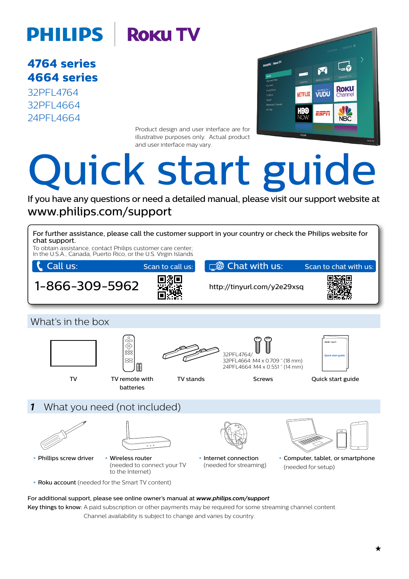# **PHILIPS | ROKU TV**

**series 4764 series 4664**

32PFL4764 32PFL4664 24PFL4664



Product design and user interface are for illustrative purposes only Actual product and user interface may vary.

# Quick start guide

If you have any questions or need a detailed manual, please visit our support website at www.philips.com/support



Key things to know: A paid subscription or other payments may be required for some streaming channel content. Channel availability is subject to change and varies by country.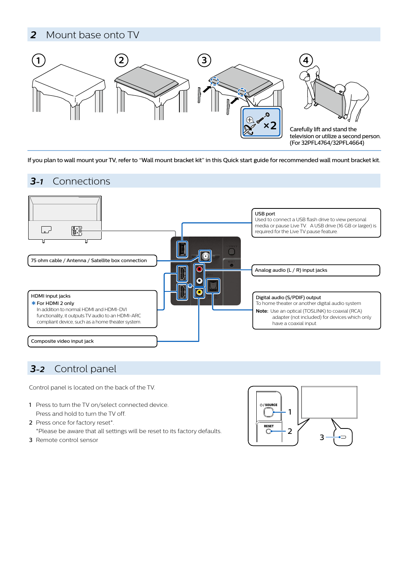### 2 Mount base onto TV



If you plan to wall mount your TV, refer to "Wall mount bracket kit" in this Quick start guide for recommended wall mount bracket kit.

### Connections *3-1*



# 3-2 Control panel

Control panel is located on the back of the TV.

- 1 Press to turn the TV on/select connected device. Press and hold to turn the TV off.
- 2 Press once for factory reset\*. \*Please be aware that all settings will be reset to its factory defaults.
- 3 Remote control sensor

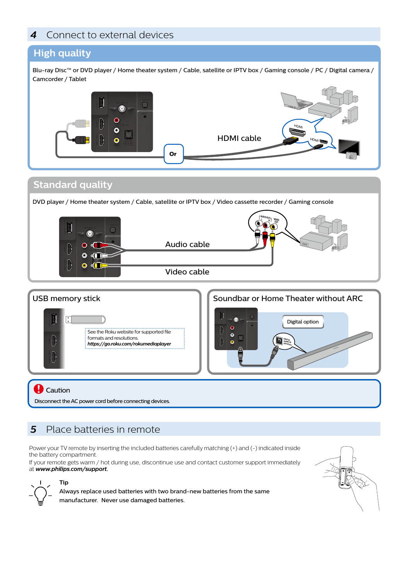### 4 Connect to external devices

### **High quality**

Blu-ray Disc™ or DVD player / Home theater system / Cable, satellite or IPTV box / Gaming console / PC / Digital camera / Camcorder / Tablet



### **Standard quality**

DVD player / Home theater system / Cable, satellite or IPTV box / Video cassette recorder / Gaming console





**Q** Caution

**Tip**

Disconnect the AC power cord before connecting devices.

# 5 Place batteries in remote

Power your TV remote by inserting the included batteries carefully matching (+) and (-) indicated inside the battery compartment.

If your remote gets warm / hot during use, discontinue use and contact customer support immediately at www.philips.com/support.



Always replace used batteries with two brand-new batteries from the same manufacturer. Never use damaged batteries.

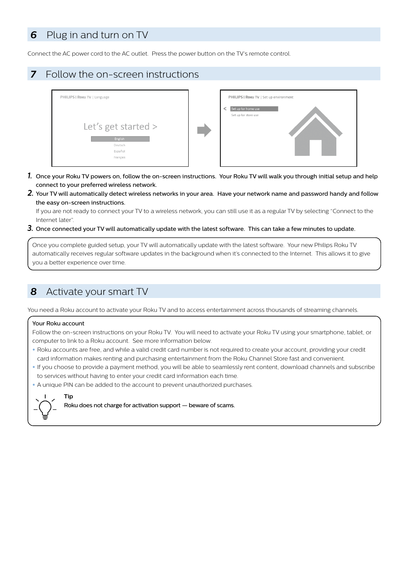### 6 Plug in and turn on TV

Connect the AC power cord to the AC outlet. Press the power button on the TV's remote control.

### **7** Follow the on-screen instructions



- 1. Once your Roku TV powers on, follow the on-screen instructions. Your Roku TV will walk you through initial setup and help connect to your preferred wireless network.
- 2. Your TV will automatically detect wireless networks in your area. Have your network name and password handy and follow the easy on-screen instructions.

If you are not ready to connect your TV to a wireless network, you can still use it as a regular TV by selecting "Connect to the Internet later".

3. Once connected your TV will automatically update with the latest software. This can take a few minutes to update.

Once you complete guided setup, your TV will automatically update with the latest software. Your new Philips Roku TV automatically receives regular software updates in the background when it's connected to the Internet. This allows it to give you a better experience over time

### 8 Activate your smart TV

You need a Roku account to activate your Roku TV and to access entertainment across thousands of streaming channels.

### Your Roku account

Follow the on-screen instructions on your Roku TV. You will need to activate your Roku TV using your smartphone, tablet, or computer to link to a Roku account. See more information below.

- Roku accounts are free, and while a valid credit card number is not required to create your account, providing your credit card information makes renting and purchasing entertainment from the Roku Channel Store fast and convenient.
- If you choose to provide a payment method, you will be able to seamlessly rent content, download channels and subscribe to services without having to enter your credit card information each time.

. A unique PIN can be added to the account to prevent unauthorized purchases.



Roku does not charge for activation support  $-$  beware of scams.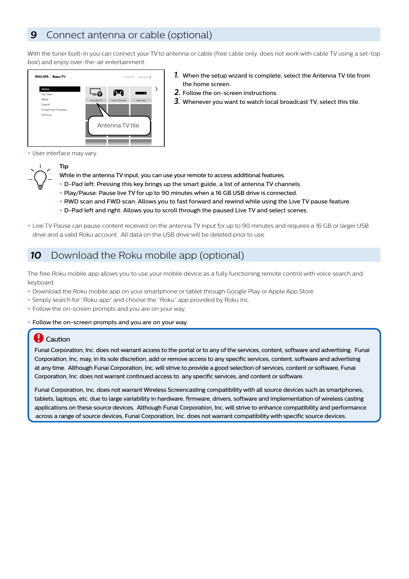### **9** Connect antenna or cable (optional)

With the tuner built-in you can connect your TV to antenna or cable (free cable only, does not work with cable TV using a set-top box) and enjoy over-the-air entertainment



- **1.** When the setup wizard is complete, select the Antenna TV tile from the home screen
- 2. Follow the on-screen instructions.
- 3. Whenever vou want to watch local broadcast TV, select this tile.

· User interface may vary.



- **Tip**
- While in the antenna TV input, you can use your remote to access additional features.
- . D-Pad left: Pressing this key brings up the smart guide, a list of antenna TV channels.
- . Play/Pause: Pause live TV for up to 90 minutes when a 16 GB USB drive is connected.
- . RWD scan and FWD scan: Allows you to fast forward and rewind while using the Live TV pause feature.
- . D-Pad left and right: Allows you to scroll through the paused Live TV and select scenes.
- Live TV Pause can pause content received on the antenna TV input for up to 90 minutes and requires a 16 GB or larger USB drive and a valid Roku account. All data on the USB drive will be deleted prior to use.

### 10 Download the Roku mobile app (optional)

The free Roku mobile app allows you to use your mobile device as a fully functioning remote control with voice search and .keyboard

- . Download the Roku mobile app on your smartphone or tablet through Google Play or Apple App Store.
- . Simply search for "Roku app" and choose the "Roku" app provided by Roku Inc.
- . Follow the on-screen prompts and you are on your way

. Follow the on-screen prompts and you are on your way.

### **Caution**

Funai Corporation, Inc. does not warrant access to the portal or to any of the services, content, software and advertising. Funai Corporation, Inc. may, in its sole discretion, add or remove access to any specific services, content, software and advertising at any time. Although Funai Corporation, Inc. will strive to provide a good selection of services, content or software, Funai Corporation, Inc. does not warrant continued access to any specific services, and content or software.

Funai Corporation, Inc. does not warrant Wireless Screencasting compatibility with all source devices such as smartphones, tablets, laptops, etc. due to large variability in hardware, firmware, drivers, software and implementation of wireless casting applications on these source devices. Although Funai Corporation, Inc. will strive to enhance compatibility and performance across a range of source devices, Funai Corporation, Inc. does not warrant compatibility with specific source devices.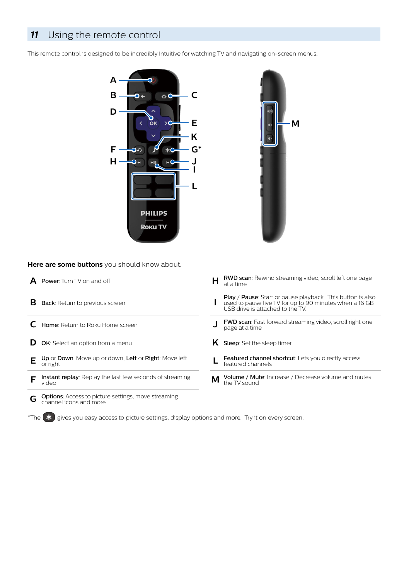### 11 Using the remote control

This remote control is designed to be incredibly intuitive for watching TV and navigating on-screen menus.





Here are some buttons you should know about.

| <b>Power:</b> Turn TV on and off                                                          | <b>RWD scan:</b> Rewind streaming video, scroll left one page<br>н<br>at a time                                                                                 |
|-------------------------------------------------------------------------------------------|-----------------------------------------------------------------------------------------------------------------------------------------------------------------|
| в<br>Back: Return to previous screen                                                      | <b>Play / Pause:</b> Start or pause playback. This button is also<br>used to pause live TV for up to 90 minutes when a 16 GB<br>USB drive is attached to the TV |
| Home: Return to Roku Home screen                                                          | <b>FWD scan:</b> Fast forward streaming video, scroll right one<br>page at a time                                                                               |
| <b>OK:</b> Select an option from a menu<br>D                                              | Sleep: Set the sleep timer<br>ĸ                                                                                                                                 |
| Up or Down: Move up or down; Left or Right: Move left<br>Е<br>or right                    | <b>Featured channel shortcut:</b> Lets you directly access<br>featured channels                                                                                 |
| <b>Instant replay:</b> Replay the last few seconds of streaming<br>video                  | Volume / Mute: Increase / Decrease volume and mutes<br>м<br>the TV sound                                                                                        |
| <b>Options:</b> Access to picture settings, move streaming<br>G<br>channel icons and more |                                                                                                                                                                 |

 $\overline{\text{the}}$  gives you easy access to picture settings, display options and more. Try it on every screen.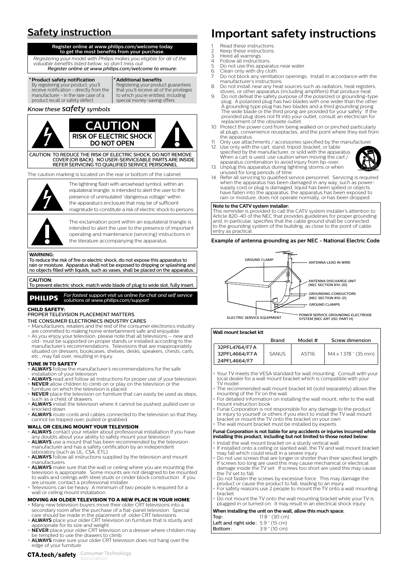# **Safety instruction**

Register online at www.philips.com/welcome today<br>to get the most benefits from your purchase.

 *the of all for eligible you makes Philips with model your Registering valuable benefits listed below, so don't miss out* **Register online at www.philips.com/welcome to ensure** 

### **Product safety notification**

By registering your product, you'll the from the from the from the receive notification - directly from the manufacturer - in the rare case of a product recall or safety defect.

**benefits Additional\*** guarantees product your Registering that you'll receive all of the privileges<br>to which you're entitled, including special money-saving offers.

### *Know these Safety symbols*



CAUTION: TO REDUCE THE RISK OF ELECTRIC SHOCK, DO NOT REMOVE

COVER (OR BACK). NO USER-SERVICEABLE PARTS ARE INSIDE REFER SERVICING TO QUALIFIED SERVICE PERSONNEL

The caution marking is located on the rear or bottom of the cabinet



The lightning flash with arrowhead symbol within an equilateral triangle, is intended to alert the user to the presence of uninsulated "dangerous voltage" within the apparatus's enclosure that may be of sufficient magnitude to constitute a risk of electric shock to persons

The exclamation point within an equilateral triangle is intended to alert the user to the presence of important operating and maintenance (servicing) instructions in the literature accompanying the apparatus

#### **:WARNING**

to apparatus the risk of fire or electric shock, do not expose this apparatus to rain or moisture. Apparatus shall not be exposed to dripping or splashing and .apparatus the on placed be shall ,vases as such ,liquids with filled objects no

### **:CAUTION**

To prevent electric shock, match wide blade of plug to wide slot, fully inser

**PHILIPS** For fastest support visit us online for chat and self service<br>solutions at www.philips.com/support

### **CHILD SAFFTY**

PROPER TELEVISION PLACEMENT MATTERS

- THE CONSUMER ELECTRONICS INDUSTRY CARES
- industrial consumer the consumer the consumer electronics industry are committed to making home entertainment safe and enjoyable.
- As you enjoy your television, please note that all televisions new and old- must be supported on proper stands or installed according to the<br>manufacturer's recommendations. Televisions that are inappropriately manufacturer's recommendations. Televisions that are inappropriately<br>situated on dressers, bookcases, shelves, desks, speakers, chests, carts, etc., may fall over, resulting in injury

### **TUNE IN TO SAFETY**

- **ALWAYS** follow the manufacturer's recommendations for the safe installation of your television
- **.television** of your television:<br>**ALWAYS** read and follow all instructions for proper use of your television. **NEVER** allow children to climb on or play on the television or the
- furniture on which the television is placed **NEVER** place the television on furniture that can easily be used as steps **NEVER** place the television
- **ALWAYS** install the television where it cannot be pushed, pulled over or knocked down.
- **ALWAYS** route cords and cables connected to the television so that they cannot be tripped over, pulled or grabbed

### **WALL OR CEILING MOUNT YOUR TELEVISION**

- **ALWAYS** contact your retailer about professional installation if you have any doubts about your ability to safely mount your television.<br>• **ALWAYS** use a mount that has been recommended by the television
- manufacturer and has a safety certification by an independent<br>laboratory (such as UL, CSA, ETL).
- **ALWAYS** follow all instructions supplied by the television and mount .manufacturers
- **ALWAYS** make sure that the wall or ceiling where you are mounting the television is appropriate. Some mounts are not designed to be mounted<br>to walls and ceilings with steel studs or cinder block construction. If you are unsure, contact a professional installer
- Televisions can be heavy. A minimum of two people is required for a<br>• wall or ceiling mount installation.

### **MOVING AN OLDER TELEVISION TO A NEW PLACE IN YOUR HOME**

- Many new television buyers move their older CRT televisions into a<br>• secondary room after the purchase of a flat-panel television. Special care should be made in the placement of older CRT televisions
- **ALWAYS** place your older CRT television on furniture that is sturdy and weight and size and weight. **NEVER** place your older CRT television on a dresser where children may
- be tempted to use the drawers to climb.<br>• **ALWAYS** make sure your older CRT television does not hang over the
- 
- edge of your furniture
- **important safety instructions**
- Read these instructions
- 2. Keep these instructions<br>3. Heed all warnings.
- 2. Reep these institute<br>3. Heed all warnings<br>4. Follow all instructi
- 4. Follow all instructions 4. Follow all instructions:<br>5. Do not use this apparatus near water.<br>6. Clean only with dry cloth
- 5. Bo not use this apparatus.<br> **6.** Clean only with dry cloth.
- the with any the with accordance with the Do not block any ventilation openings Install in accordance with the manufacturer's instructions
- 8. Do not install near any heat sources such as radiators, heat registers, stoves, or other apparatus (including amplifiers) that produce heat.<br>9. Do not defeat the safety purpose of the polarized or grounding-type
- plug. A polarized plug has two blades with one wider than the other. A grounding type plug has two blades and a third grounding prong.<br>The wide blade or the third prong are provided for your safety. If the<br>provided plug does not fit into your outlet, consult an electrician for<br>replacement o
- 10. Protect the power cord from being walked on or pinched particularly from the point told from being maked on or pinence paradidary, at plugs convenience receptacles and the point where they exit from the apparatus.
- 11. Only use attachments / accessories specified by the manufacturer<br>12. Use only with the cart, stand, tripod, bracket, or table specified by the manufacturer, or sold with the apparatus.
- When a cart is used, use caution when moving the cart /<br>apparatus combination to avoid injury from tip-over. 13. Unplug this apparatus during lightning storms or when



unused for long periods of time.<br>14. Refer all servicing to qualified service personnel. Servicing is required when the apparatus has been damaged in any way, such as power-<br>supply cord or plug is damaged, liquid has been spilled or objects have fallen into the apparatus, the apparatus has been exposed to rate rate. The apparates, the apparates has been exposed to rain or moisture does not operate normally or has been dropped

#### **Note to the CATV system installer:**

to at the control system material.<br>This reminder is provided to call the CATV system installer's attention to This reminder is provided to eat the extra system instance statement to<br>Article 820-40 of the NEC that provides guidelines for proper grounding connected be shall ground cable that specifies that the cable ground shall be connected to the grounding system of the building, as close to the point of cable ntry as practic

**Example of antenna grounding as per NEC - National Electric Code** 



ELECTRIC SERVICE EQUIPMENT POWER SERVICE GROUNDING ELECTRODE<br>SYSTEM (NEC ART 250, PART H)

### **Wall** mount bracket kit

|                | Brand | Model # | Screw dimension      |
|----------------|-------|---------|----------------------|
| 32PFL4764/F7 A |       |         |                      |
| 32PFL4664/F7A  | SANUS | AST16   | M4 x 1.378 " (35 mm) |
| 24PFL4664/F7   |       |         |                      |

- Your TV meets the VESA standard for wall mounting. Consult with your local dealer for a wall mount bracket which is compatible with you TV model.
- The recommended wall mount bracket kit (sold separately) allows the
- mounting of the TV on the wall.<br>• For detailed information on installing the wall mount, refer to the wall r or detailed information<br>mount instruction book
- product the today. Sook.<br>Funai Corporation is not responsible for any damage to the product or injury to yourself or others if you elect to install the TV wall mount<br>bracket or mount the TV onto the bracket on your own. The wall mount bracket must be installed by experts

#### **Funai Corporation is not liable for any accidents or injuries incurred while Example 19 potation to light including but included to those noted below:**

- Install the wall mount bracket on a sturdy vertical wall bracket mount wall mount bracket or calculary vertical wall.<br>If installed onto a ceiling or slanted wall, the TV and wall mount bracket
- . may fall which could result in a severe injury.<br>• Do not use screws that are longer or shorter than their specified length. bo not use serews that are longer or shorter than their specified to cause inside the TV set. If screws too short are used this may cause the TV set to fall
- Do not fasten the screws by excessive force. This may damage the
- product or cause the product to fall, leading to an injury.<br>• For safety reasons use 2 people to mount the TV onto a wall mounting .bracket
- Bracket:<br>Do not mount the TV onto the wall mounting bracket while your TV is bo not mount the TV onto the wall mounting bracket while you'll

#### en installing the unit on the wall, allow this much space.

| Top:                               | $11.8$ $^{\circ}$ (30 cm) |
|------------------------------------|---------------------------|
| Left and right side: 5.9 " (15 cm) |                           |
| Bottom:                            | $3.9$ " (10 cm)           |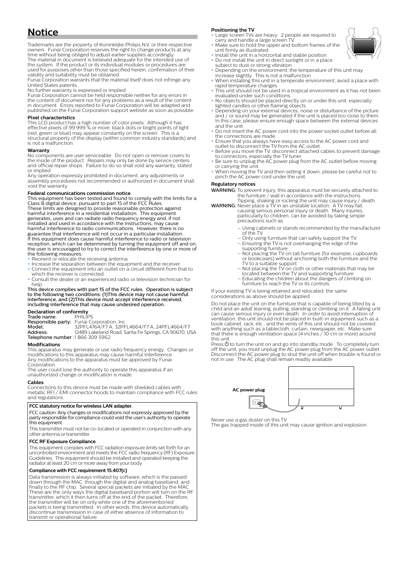### **Notice**

Trademarks are the property of Koninklijke Philips N.V. or their respective matemans are the property of nominalities is imposited to change products at any time without being obliged to adjust earlier supplies accordingly.<br>The material in document is believed adequate for the intended use of the system. If the product or its individual modules or procedures are the system. If the product of its individual modules or procedures are<br>used for purposes other than those specified herein, confirmation of their see to purpose official and allose specialidity and suitability must be obtained.

Funai Corporation warrants that the material itself does not infringe any .<br>United States patents.

No further warranty is expressed or implied.

 in errors any for neither responsible held be cannot Corporation Funai component of document nor for any problems as a result of the content the content in document. Errors reported to Funai Corporation will be adapted and in document. Enois reported to Funai Corporation will be adapted and<br>published on the Funai Corporation support website as soon as possible

### **characteristics Pixel**

This LCD product has a high number of color pixels. Although it has<br>effective pixels of 99.999 % or more, black dots or bright points of light a is the one constantly on the screen. This is a irred or blue) may appear constantly on the screen. This is a structural property of the display (within common industry standards) and is not a malfunction.

### **Warranty**

No components are user serviceable. Do not open or remove covers to<br>the inside of the product. Repairs may only be done by service centers and official repair shops. Failure to do so shall void any warranty, stated

or implied.<br>Any operation expressly prohibited in document, any adjustments or shall document in automobile in accument, any dependence or recommended or authorized in document shall void the warranty

### **Federal communications commission notice**

This equipment has been tested and found to comply with the limits for a<br>Class B digital device, pursuant to part 15 of the FCC Rules. class B digital device, pursuant to part is of the rice rides.<br>These limits are designed to provide reasonable protection against harmful interference in a residential installation. This equipment<br>generates, uses and can radiate radio frequency energy and, if not installed and used in accordance with the instructions, may cause harmful interference to radio communications However there is no naminal interference to radio communications. Trowever, there is no<br>guarantee that interference will not occur in a particular installation. If this equipment does cause harmful interference to radio or television reception, which can be determined by turning the equipment off and on reception, when can be determined by taring the equipment on and one<br>the user is encouraged to try to correct the interference by one or more of the following measures

- Reorient or relocate the receiving antenna
- 
- Increase the separation between the equipment and the receiver.<br>• Connect the equipment into an outlet on a circuit different from that to ediment the equipment into an
- Consult the dealer or an experienced radio or television technician for .help

This device complies with part 15 of the FCC rules. Operation is subject to the following two conditions: (1)This device may not cause harmful<br>interference, and (2)This device must accept interference received, including interference that may cause undesired operation

**Declaration of conformity**<br>Trade name: PHILIPS Prade name:<br>Responsible party: **Responsible party**: Funai Corporation, Inc.<br>**Model:** 32PFL4764/F7 A, 32PFL4664/F7 A, 24PFL4664/F7 Model.<br>**Address**: T2489 Lakeland Road, Santa Fe Springs, CA 90670, USA Telephone number :1866 309 5962

#### **Modifications**

**This apparatus may generate or use radio frequency energy. Changes or** modifications to this apparatus may cause harmful interference Fundamental by any opposition they appear the information and the top must be determined by Funai .Corporation

The user could lose the authority to operate this apparatus if an unauthorized change or modification is made

### **Cables**

Connections to this device must be made with shielded cables with<br>metallic RFI / EMI connector hoods to maintain compliance with FCC rules and regulations

#### **FCC** statutory notice for wireless LAN adapter.

FCC caution: Any changes or modifications not expressly approved by the operations to authority system in the void could void the user's authority to operate this equipment.

This transmitter must not be co-located or operated in conjunction with any other antenna or transmitter

#### **FCC RF Exposure Compliance**

This equipment complies with FCC radiation exposure limits set forth for an uncontrolled environment and meets the FCC radio frequency (RF) Exposure<br>Guidelines. This equipment should be installed and operated keeping the .badiator at least 20 cm or more away from your body.

### Compliance with FCC requirement 15.407(c)

pata transmission is always initiated by software, which is the passed down through the MAC, through the digital and analog baseband, and<br>finally to the RF chip. Several special packets are initiated by the MAC. many to the ninempth several special packets are imitated by the mate.<br>These are the only ways the digital baseband portion will turn on the RF transmitter, which it then turns off at the end of the packet. Therefore,<br>the transmitter will be on only while one of the aforementioned mature this control of the control of the control control of the control of packets is being transmitted. In other words, this device automatically discontinue transmission in case of either absence of information to transmit or operational failure

### **Positioning the TV**

- **bsitioning the TV**<br>Large screen TVs are heavy. 2 people are required to carry and handle a large screen TV the sure frames a large below the bottom frames of the Make sure to hold the upper and bottom frames of the
- .illustrated as firmly unit
- Install the unit in a horizontal and stable position.<br>• Do not install the unit in direct sunlight or in a place
- subject to dust or strong vibration
- Depending on the environment, the temperature of this unit may<br>increase slightly. This is not a malfunction. when installing this unit in a temperate environment, avoid a place with
- rapid temperature changes. be a importance ontriges.<br>This unit should not be used in a tropical environment as it has not been
- evaluated under such conditions
- No objects should be placed directly on or under this unit, especially lighted candles or other flaming objects.<br>• Depending on your external devices, noise or disturbance of the picture
- beperiumig on your external devices, holse or distanciance or the picture<br>and / or sound may be generated if the unit is placed too close to them. drid y or sound may be generated if the drinks placed too close to them.<br>In this case, please ensure enough space between the external devices and the unit
- and the anti-
- the connections are made.<br>• Ensure that you always have easy access to the AC power cord and
- outlet to disconnect the TV from the AC outlet.<br>• Before you move the TV, disconnect attached cables to prevent damage
- to connectors, especially the TV tuner.<br>• Be sure to unplug the AC power plug from the AC outlet before moving or carrying the unit.
- to carrying the time.<br>When moving the TV and then setting it down, please be careful not to pinch the AC power cord under the unit.

#### **notices Regulatory**

WARNING: To prevent injury, this apparatus must be securely attached to

the furniture / wall in accordance with the instructions.<br>Tipping, shaking or rocking the unit may cause injury / death.<br>**WARNING**: Never place a TV in an unstable location. A TV may fall,<br>causing serious personal injury o

- simple taking behind the can be avoided by taking simple particularly to children. can be avoided by taking simple precautions such as
	- Using cabinets or stands recommended by the manufacturer of the TV.
	- .TV the support safely can that furniture using Only– the only daily difficult that can safely support the TV.<br>- Ensuring the TV is not overhanging the edge of the
	- supporting furniture.<br>– Not placing the TV on tall furniture (for example, cupboards the pressure the both and furniture the both angles or bookcases) without anchoring both the furniture and the
- TV to a suitable support.<br>– Not placing the TV on cloth or other materials that may be
- **The placing are if you clean or other materials and supporting furniture**
- Educating the children about the dangers of climbing on<br>furniture to reach the TV or its controls.

If your existing TV is being retained and relocated, the same considerations as above should be applied.

Do not place the unit on the furniture that is capable of being tilted by a be not place the anti-on-the ramitate that is capable or semigence of set of a child and an adult leaning, pulling, standing or climbing on it. A falling unit can cause serious injury or even death. In order to avoid interruption of ventilation, this unit should not be placed in built-in equipment such as a comments, and should not be placed in band in equipment stern as book cabinet, rack, etc., and the vents of this unit should not be covered with anything such as a tablecloth, curtain, newspaper, etc. Make sure<br>that there is enough ventilation space (4 inches / 10 cm or more) around .unit this

this different completely turn the unit on and go into standby mode. To completely turn off the unit, you must unplug the AC power plug from the AC power outlet. Disconnect the AC power plug to shut the unit off when trouble is found or<br>not in use. The AC plug shall remain readily available.



Never use a gas duster on this TV

.exc. ase a gas daster on this riv.<br>The gas trapped inside of this unit may cause ignition and explosion.

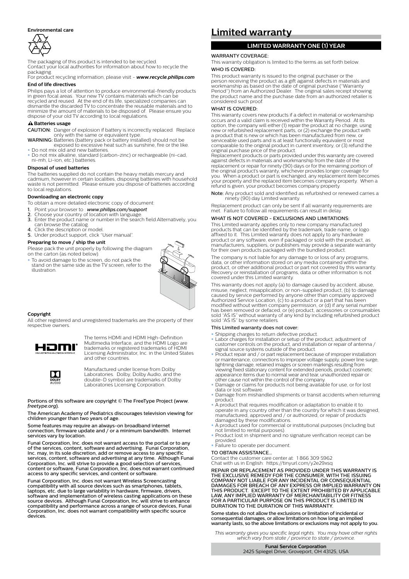#### **care Environmental**



The packaging of this product is intended to be recycled. the packaging of this product is interided to be recycled.<br>Contact your local authorities for information about how to recycle the .packaging

**Factualizers**.<br>For product recycling information release visit - **www.recycle.philips.com End of life directives** 

Philips pays a lot of attention to produce environmental-friendly products in green focal areas. Your new TV contains materials which can be<br>recycled and reused. At the end of its life, specialized companies can dismantle the discarded TV to concentrate the reusable materials and to minimize the amount of materials to be disposed of. Please ensure you the annual to materials to be disposed of dispose of your old TV according to local regulations.

### $A$  Batteries usage

**CAUTION**: Danger of explosion if battery is incorrectly replaced. Replace<br>only with the same or equivalent type.

- **WARNING**: Batteries (battery pack or battery installed) should not be<br>exposed to excessive heat such as sunshine, fire or the like. Do not mix old and new hatteries
- . Do not mix alkaline, standard (carbon-zinc) or rechargeable (ni-cad bo not mix atkaline, standard<br>ni-mh. Li-ion. etc.) batteries.

#### **Disposal of used batteries**

The batteries supplied do not contain the heavy metals mercury and cadmium, however in certain localities, disposing batteries with household waste is not permitted. Please ensure you dispose of batteries according to local regulations

### **Downloading an electronic copy**

- To obtain a more detailed electronic copy of document
- 
- 1. Point your browser to : **www.philips.com/support**<br>2. Choose your country of location with language.
- 3. Enter the product name or number in the search field Alternatively, you can browse the catalog.<br>- 4. Click the description or model.
- 
- 5. Under product support, click "User manual"

### Preparing to move / ship the unit

Please pack the unit properly by following the diagram on the carton (as noted below)

To avoid damage to the screen, do not pack the stand on the same side as the TV screen, refer to the .illustration



### **Copyright**

All other registered and unregistered trademarks are the property of their respective owners



The terms HDMI and HDMI High-Definition Multimedia Interface, and the HDMI Logo are trademarks or registered trademarks of HDMI<br>Licensing Administrator, Inc. in the United States and other countries



Manufactured under license from Dolby Mandractured and enterness noth Bolby Laboratories. Dolby, Dolby Audio, and the double-D symbol are trademarks of Dolby Laboratories Licensing Corporation

Portions of this software are copyright @ The FreeType Project (www. .(*org.freetype*

The American Academy of Pediatrics discourages television viewing for children younger than two years of age

Some features may require an always-on broadband internet<br>connection, firmware update and / or a minimum bandwidth. Internet services vary by location

Funai Corporation, Inc. does not warrant access to the portal or to any<br>of the services, content, software and advertising. Funai Corporation, Inc. may, in its sole discretion, add or remove access to any specific Function, the advertising and software and advertising at any time. Although Funai services, content, sortware and duvertising at any time. Atthough Corporation, Inc. will strive to provide a good selection of services. content or software, Funai Corporation, Inc. does not warrant continued access to any specific services, and content or software.

Funai Corporation, Inc. does not warrant Wireless Screencasting , take compatibility with all source devices such as smartphones, tablets, laptops, etc. due to large variability in hardware, firmware, drivers,<br>software and implementation of wireless casting applications on these<br>source devices. Although Funai Corporation, Inc. will strive to enhance<br>compatibi sompations, and performance deress a range or source devices, ran<br>Corporation, Inc. does not warrant compatibility with specific source devices.

### **warranty Limited**

### **LIMITED WARRANTY ONE (1) YEAR**

### WARRANTY COVERAGE:

This warranty obligation is limited to the terms as set forth below. WHO IS COVERED

This product warranty is issued to the original purchaser or the and person receiving the product as a gift against defects in materials and workmanship as based on the date of original purchase ("Warranty Period") from an Authorized Dealer. The original sales receipt showing<br>the product name and the purchase date from an authorized retailer is considered such proof

#### WHAT IS COVERED.

This warranty covers new products if a defect in material or workmanship<br>occurs and a valid claim is received within the Warranty Period. At its occurs and a valid claim is received maintimete warranty i ensure water new or refurbished replacement parts, or (2) exchange the product with<br>a product that is new or which has been manufactured from new, or most or equivalent functional models in the control of the serviceable used parts and is at least functionally equivalent or most comparable to the original product in current inventory, or (3) refund the original purchase price of the product

Replacement products or parts provided under this warranty are covered the materials in distribution workmanship from the date of the against defects immaterials and working is inpriormate date or the<br>replacement or repair for ninety (90) days or for the remaining portion of the original product's warranty, whichever provides longer coverage for<br>you. When a product or part is exchanged, any replacement item becomes your property and the replaced item becomes company property. When a<br>refund is given, your product becomes company property.

Note: Any product sold and identified as refurbished or renewed carries a ninety (90) day Limited warranty.

Replacement product can only be sent if all warranty requirements are met. Failure to follow all requirements can result in delay

### WHAT IS NOT COVERED - EXCLUSIONS AND LIMITATIONS

This Limited warranty applies only to new company manufactured logo contains trade market and be identified by the trademark, trade name, or logo affixed to it. This Limited warranty does not apply to any hardware<br>product or any software, even if packaged or sold with the product, as product or any softmate, even in packaged or sold marrier product, as<br>manufacturers, suppliers, or publishers may provide a separate warranty for their own products packaged with the bundled product

The company is not liable for any damage to or loss of any programs the company is not habit for any damage to or toss or any program.<br>data, or other information stored on any media contained within the product, or other additional product or part not covered by this warranty.<br>Recovery or reinstallation of programs, data or other information is not covered under this Limited warranty

This warranty does not apply (a) to damage caused by accident, abuse mis warranty does not apply (a) to damage caused by accident, abuse,<br>misuse neglect misapplication or non-supplied product (b) to damage misase, neglect, misapplication, or non-supplied product, (b) to damage<br>caused by service performed by anyone other than company approved between the part and part and the total material part and part and the part and the part and the Authorized Service Location (c) to a product or a part that has been mumber service coeditor, (c) to a product or a part that has been modified without written company permission, or (d) if any serial number consumed the consumed or defaced, or (e) product, accessories or consumables sold "AS IS" without warranty of any kind by including refurbished product sold AS IS will look manufact,

### This Limited warranty does not cover

. Shipping charges to return defective product

- Labor charges for installation or setup of the product, adjustment of customer controls on the product, and installation or repair of antenna /<br>signal source systems outside of the product.
- Product repair and / or part replacement because of improper installation<br>or maintenance, connections to improper voltage supply, power line surge, from resulting damage, retained images or screen markings resulting from viewing fixed stationary content for extended periods, product cosmetic<br>appearance items due to normal wear and tear, unauthorized repair or
- other cause not within the control of the company.<br>• Damage or claims for products not being available for use, or for lost .software lost or data
- Damage from mishandled shipments or transit accidents when returning .product
- A product that requires modification or adaptation to enable it to operate in any country other than the country for which it was designed,<br>manufactured, approved and / or authorized, or repair of products damaged by these modifications
- A product used for commercial or institutional purposes (including but not limited to rental purposes)
- Product lost in shipment and no signature verification receipt can be .provided

### • Failure to operate per document.

TO OBTAIN ASSISTANCE. TO OBTAIN ASSISTANCE...<br>Contact the customer care center at: 1866 309 5962

comate the education can't come at the composer Chat with us in English: https://tinyurl.com/y2e29xsq

REPAIR OR REPLACEMENT AS PROVIDED UNDER THIS WARRANTY IS<br>THE EXCLUSIVE REMEDY FOR THE CONSUMER, WITH THE ISSUING COMPANY NOT LIABLE FOR ANY INCIDENTAL OR CONSEQUENTIAL<br>DAMAGES FOR BREACH OF ANY EXPRESS OR IMPLIED WARRANTY ON BAMAGES FOR BREACH OF ANT EXPRESS OR IMPEIED WARRANTT ON<br>THIS PRODUCT. EXCEPT TO THE EXTENT PROHIBITED BY APPLICABLE LAW, ANY IMPLIED WARRANTY OF MERCHANTABILITY OR FITNESS<br>FOR A PARTICULAR PURPOSE ON THIS PRODUCT IS LIMITED IN DURATION TO THE DURATION OF THIS WARRANTY

Some states do not allow the exclusions or limitation of incidental or consequential damages, or allow limitations on how long an implied<br>warranty lasts, so the above limitations or exclusions may not apply to you.

This warranty gives you specific legal rights. You may have other rights *.province / state to province / state from vary which*

> **Funai Service Corporation** 2425 Spiegel Drive, Groveport, OH 43125, USA